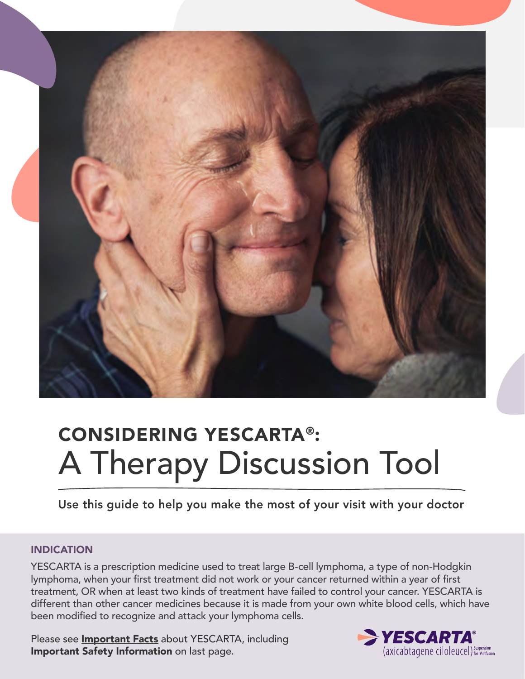

# CONSIDERING YESCARTA®: A Therapy Discussion Tool

Use this guide to help you make the most of your visit with your doctor

#### INDICATION

YESCARTA is a prescription medicine used to treat large B-cell lymphoma, a type of non-Hodgkin lymphoma, when your first treatment did not work or your cancer returned within a year of first treatment, OR when at least two kinds of treatment have failed to control your cancer. YESCARTA is different than other cancer medicines because it is made from your own white blood cells, which have been modified to recognize and attack your lymphoma cells.

Please see **[Important Facts](https://www.gilead.com/-/media/files/pdfs/medicines/other/yescarta/yescarta.pdf)** about YESCARTA, including Important Safety Information on last page.

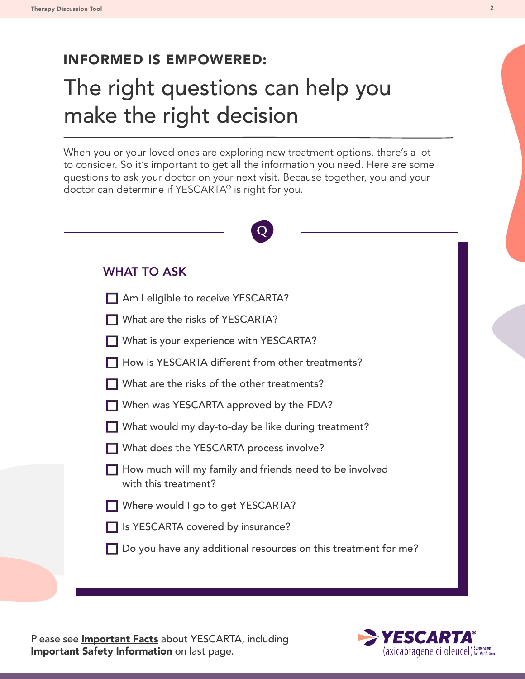## INFORMED IS EMPOWERED:

## The right questions can help you make the right decision

When you or your loved ones are exploring new treatment options, there's a lot to consider. So it's important to get all the information you need. Here are some questions to ask your doctor on your next visit. Because together, you and your doctor can determine if YESCARTA® is right for you.

| <b>WHAT TO ASK</b>                                                              |
|---------------------------------------------------------------------------------|
| Am I eligible to receive YESCARTA?                                              |
| What are the risks of YESCARTA?                                                 |
| What is your experience with YESCARTA?                                          |
| How is YESCARTA different from other treatments?                                |
| What are the risks of the other treatments?                                     |
| When was YESCARTA approved by the FDA?                                          |
| What would my day-to-day be like during treatment?                              |
| What does the YESCARTA process involve?                                         |
| How much will my family and friends need to be involved<br>with this treatment? |
| Where would I go to get YESCARTA?                                               |
| Since 2 Is YESCARTA covered by insurance?                                       |
| Do you have any additional resources on this treatment for me?                  |

Please see **[Important Facts](https://www.gilead.com/-/media/files/pdfs/medicines/other/yescarta/yescarta.pdf)** about YESCARTA, including Important Safety Information on last page.

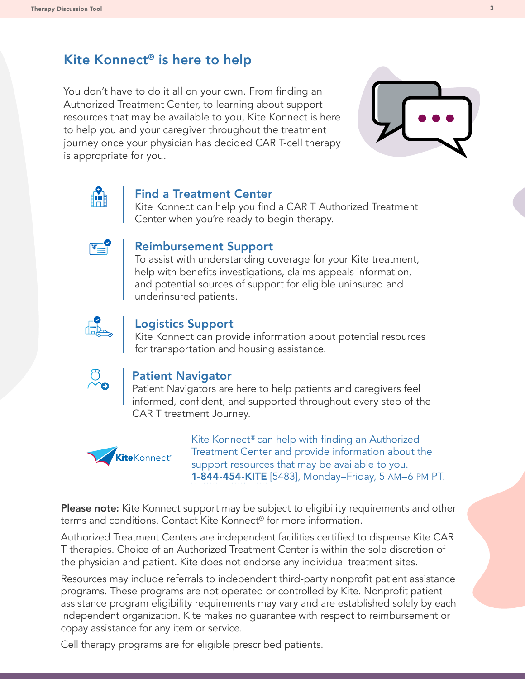## Kite Konnect® is here to help

You don't have to do it all on your own. From finding an Authorized Treatment Center, to learning about support resources that may be available to you, Kite Konnect is here to help you and your caregiver throughout the treatment journey once your physician has decided CAR T-cell therapy is appropriate for you.





#### Find a Treatment Center

Kite Konnect can help you find a CAR T Authorized Treatment Center when you're ready to begin therapy.



#### Reimbursement Support

To assist with understanding coverage for your Kite treatment, help with benefits investigations, claims appeals information, and potential sources of support for eligible uninsured and underinsured patients.



#### Logistics Support

Kite Konnect can provide information about potential resources for transportation and housing assistance.



#### Patient Navigator

Patient Navigators are here to help patients and caregivers feel informed, confident, and supported throughout every step of the CAR T treatment Journey.



Kite Konnect® can help with finding an Authorized Treatment Center and provide information about the support resources that may be available to you. 1-844-454-KITE [5483], Monday–Friday, 5 AM–6 PM PT.

Please note: Kite Konnect support may be subject to eligibility requirements and other terms and conditions. Contact Kite Konnect® for more information.

Authorized Treatment Centers are independent facilities certified to dispense Kite CAR T therapies. Choice of an Authorized Treatment Center is within the sole discretion of the physician and patient. Kite does not endorse any individual treatment sites.

Resources may include referrals to independent third-party nonprofit patient assistance programs. These programs are not operated or controlled by Kite. Nonprofit patient assistance program eligibility requirements may vary and are established solely by each independent organization. Kite makes no guarantee with respect to reimbursement or copay assistance for any item or service.

Cell therapy programs are for eligible prescribed patients.